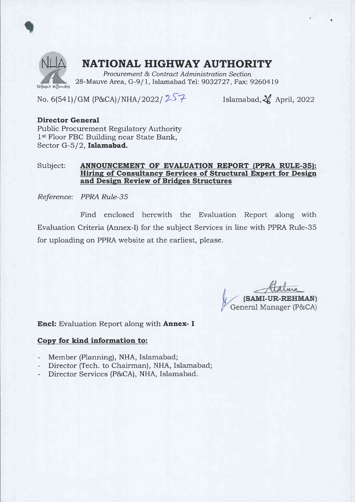

### NATIONAL HIGHWAY AUTHORITY

Procurement & Contract Administration Section 28-Mauve Area, G-9/1, Islamabad Tel: 9032727, Fax: 9260419

No. 6(541)/GM (P&CA)/NHA/2022/257 Islamabad,  $\frac{2}{\sqrt{2}}$  April, 2022

### Director General

Public Procurement Regulatory Authority 1<sup>st</sup> Floor FBC Building near State Bank, Sector G-5/2, Islamabad.

### Subject: ANNOUNCEMENT OF EVALUATION REPORT (PPRA RULE-35): Hiring of Consultancy Services of Structural Expert for Design and Design Review of Bridges Structures

Reference: PPRA RuIe-3S

Find enclosed herewith the Evaluation Report along with Evaluation Criteria (Annex-I) for the subject Services in line with PPRA Rule-35 for uploading on PPRA website at the earliest, please.

(SAMI-UR-REHMAN) General Manager (P&CA)

Encl: Evaluation Report along with Annex- I

#### Copy for kind information to:

- Member (Planning), NHA, Islamabad;
- Director (Tech. to Chairman), NHA, Islamabad;
- Director Services (P&CA), NHA, Islamabad.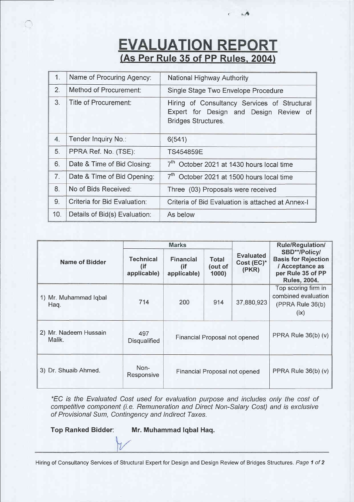# **EVALUATION REPORT**<br>(As Per Rule 35 of PP Rules, 2004)

 $, /$ 

| 1.             | Name of Procuring Agency:     | National Highway Authority                                                                                           |  |  |
|----------------|-------------------------------|----------------------------------------------------------------------------------------------------------------------|--|--|
| 2.             | Method of Procurement:        | Single Stage Two Envelope Procedure                                                                                  |  |  |
| 3.             | Title of Procurement:         | Hiring of Consultancy Services of Structural<br>Expert for Design and Design Review of<br><b>Bridges Structures.</b> |  |  |
| 4.             | Tender Inquiry No.:           | 6(541)                                                                                                               |  |  |
| 5.             | PPRA Ref. No. (TSE):          | <b>TS454859E</b>                                                                                                     |  |  |
| 6.             | Date & Time of Bid Closing:   | 7 <sup>th</sup> October 2021 at 1430 hours local time                                                                |  |  |
| 7 <sub>1</sub> | Date & Time of Bid Opening:   | 7 <sup>th</sup> October 2021 at 1500 hours local time                                                                |  |  |
| 8.             | No of Bids Received:          | Three (03) Proposals were received                                                                                   |  |  |
| 9.             | Criteria for Bid Evaluation:  | Criteria of Bid Evaluation is attached at Annex-I                                                                    |  |  |
| 10.            | Details of Bid(s) Evaluation: | As below                                                                                                             |  |  |

|                                 | <b>Marks</b>                    |                                           |                          |                                         | <b>Rule/Regulation/</b>                                                                                    |
|---------------------------------|---------------------------------|-------------------------------------------|--------------------------|-----------------------------------------|------------------------------------------------------------------------------------------------------------|
| <b>Name of Bidder</b>           | Technical<br>(if<br>applicable) | <b>Financial</b><br>$($ if<br>applicable) | Total<br>(out of<br>1000 | <b>Evaluated</b><br>Cost (EC)*<br>(PKR) | SBD**/Policy/<br><b>Basis for Rejection</b><br>/ Acceptance as<br>per Rule 35 of PP<br><b>Rules, 2004.</b> |
| 1) Mr. Muhammad Iqbal<br>Haq.   | 714                             | 200                                       | 914                      | 37,880,923                              | Top scoring firm in<br>combined evaluation<br>(PPRA Rule 36(b)<br>(ix)                                     |
| 2) Mr. Nadeem Hussain<br>Malik. | 497<br><b>Disqualified</b>      | Financial Proposal not opened             |                          |                                         | PPRA Rule 36(b) (v)                                                                                        |
| 3) Dr. Shuaib Ahmed.            | Non-<br>Responsive              |                                           |                          | Financial Proposal not opened           | PPRA Rule 36(b) (v)                                                                                        |

\*EC is the Evaluated Cost used for evaluation purpose and includes only the cost of competitive component (i.e. Remuneration and Direct Non-Salary Cost) and is exclusive of Provisional Sum, Contingency and lndirect Taxes.

Top Ranked Bidder: Mr. Muhammad lqbal Haq.

Hiring of Consultancy Services of Structural Expert for Design and Design Review of Bridges Structures. Page 1 of 2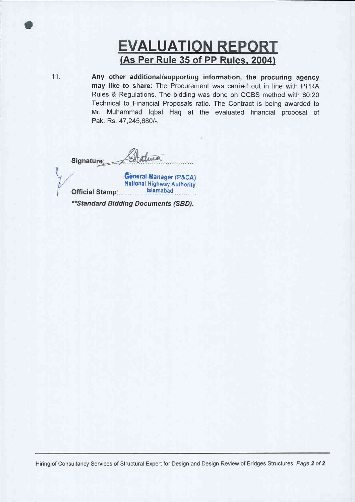## **EVALUATION REPORT** (As Per Rule 35 of PP Rules, 2004)

11.

Any other additional/supporting information, the procuring agency may like to share: The Procurement was carried out in line with PPRA Rules & Regulations. The bidding was done on QCBS method with 80:20 Technical to Financial Proposals ratio. The Contract is being awarded to Mr. Muhammad Iqbal Haq at the evaluated financial proposal of Pak. Rs. 47,245,680/-.

Signature:

General Manager (P&CA) **National Highway Authority** Official Stamp: Islamabad

\*\* Standard Bidding Documents (SBD).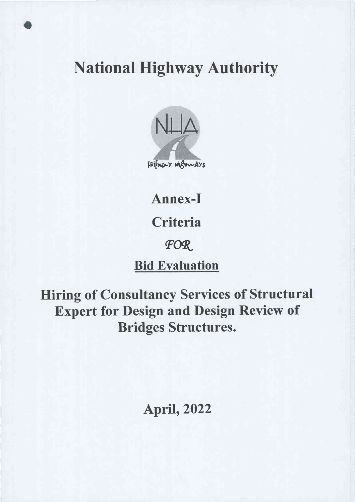# **National Highway Authority**



Annex-I **Criteria FOR Bid Evaluation** 

**Hiring of Consultancy Services of Structural Expert for Design and Design Review of Bridges Structures.** 

**April, 2022**